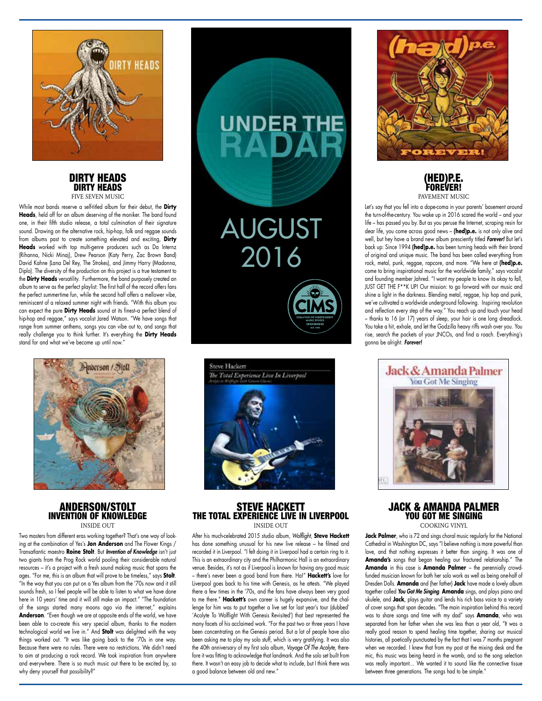

#### DIRTY HEADS DIRTY HEADS FIVE SEVEN MUSIC

While most bands reserve a self-titled album for their debut, the **Dirty Heads**, held off for an album deserving of the moniker. The band found one, in their fifth studio release, a total culmination of their signature sound. Drawing on the alternative rock, hip-hop, folk and reggae sounds from albums past to create something elevated and exciting, **Dirty Heads** worked with top multi-genre producers such as Da Internz (Rihanna, Nicki Minaj), Drew Pearson (Katy Perry, Zac Brown Band) David Kahne (Lana Del Rey, The Strokes), and Jimmy Harry (Madonna, Diplo). The diversity of the production on this project is a true testament to the **Dirty Heads** versatility. Furthermore, the band purposely created an album to serve as the perfect playlist: The first half of the record offers fans the perfect summertime fun, while the second half offers a mellower vibe, reminiscent of a relaxed summer night with friends. "With this album you can expect the pure **Dirty Heads** sound at its finest-a perfect blend of hip-hop and reggae," says vocalist Jared Watson. "We have songs that range from summer anthems, songs you can vibe out to, and songs that really challenge you to think further. It's everything the **Dirty Heads** stand for and what we've become up until now."



## ANDERSON/STOLT INVENTION OF KNOWLEDGE INSIDE OUT

Two masters from different eras working together? That's one way of looking at the combination of Yes's **Jon Anderson** and The Flower Kings / Transatlantic maestro **Roine Stolt**. But *Invention of Knowledge* isn't just two giants from the Prog Rock world pooling their considerable natural resources – it's a project with a fresh sound making music that spans the ages. "For me, this is an album that will prove to be timeless," says **Stolt**. "In the way that you can put on a Yes album from the '70s now and it still sounds fresh, so I feel people will be able to listen to what we have done here in 10 years' time and it will still make an impact." "The foundation of the songs started many moons ago via the internet," explains **Anderson**. "Even though we are at opposite ends of the world, we have been able to co-create this very special album, thanks to the modern technological world we live in." And **Stolt** was delighted with the way things worked out. "It was like going back to the '70s in one way. Because there were no rules. There were no restrictions. We didn't need to aim at producing a rock record. We took inspiration from anywhere and everywhere. There is so much music out there to be excited by, so why deny yourself that possibility?"



AUGUST

UNDER THE

2016

# STEVE HACKETT THE TOTAL EXPERIENCE LIVE IN LIVERPOOL INSIDE OUT

After his much-celebrated 2015 studio album, *Wolflight*, **Steve Hackett** has done something unusual for his new live release – he filmed and recorded it in Liverpool. "I felt doing it in Liverpool had a certain ring to it. This is an extraordinary city and the Philharmonic Hall is an extraordinary venue. Besides, it's not as if Liverpool is known for having any good music – there's never been a good band from there. Ha!" **Hackett's** love for Liverpool goes back to his time with Genesis, as he attests. "We played there a few times in the '70s, and the fans have always been very good to me there." **Hackett's** own career is hugely expansive, and the challenge for him was to put together a live set for last year's tour (dubbed' 'Acolyte To Wolflight With Genesis Revisited') that best represented the many facets of his acclaimed work. "For the past two or three years I have been concentrating on the Genesis period. But a lot of people have also been asking me to play my solo stuff, which is very gratifying. It was also the 40th anniversary of my first solo album, *Voyage Of The Acolyte*, therefore it was fitting to acknowledge that landmark. And the solo set built from there. It wasn't an easy job to decide what to include, but I think there was a good balance between old and new."





Let's say that you fell into a dope-coma in your parents' basement around the turn-of-the-century. You wake up in 2016 scared the world – and your life – has passed you by. But as you peruse the Internet, scraping resin for dear life, you come across good news – **(hed)p.e.** is not only alive and well, but hey have a brand new album presciently titled *Forever!* But let's back up: Since 1994 **(hed)p.e.** has been turning heads with their brand of original and unique music. The band has been called everything from rock, metal, punk, reggae, rapcore, and more. "We here at **(hed)p.e.**  come to bring inspirational music for the worldwide family," says vocalist and founding member Jahred. "I want my people to know its okay to fall, JUST GET THE F\*\*K UP! Our mission: to go forward with our music and shine a light in the darkness. Blending metal, reggae, hip hop and punk, we've cultivated a worldwide underground following. Inspiring revolution and reflection every step of the way." You reach up and touch your head – thanks to 16 (or 17) years of sleep, your hair is one long dreadlock. You take a hit, exhale, and let the Godzilla heavy riffs wash over you. You rise, search the pockets of your JNCOs, and find a roach. Everything's gonna be alright. *Forever!*



# JACK & AMANDA PALMER YOU GOT ME SINGING COOKING VINYL

**Jack Palmer**, who is 72 and sings choral music regularly for the National Cathedral in Washington DC, says "I believe nothing is more powerful than love, and that nothing expresses it better than singing. It was one of **Amanda's** songs that began healing our fractured relationship." The **Amanda** in this case is **Amanda Palmer** – the perennially crowdfunded musician known for both her solo work as well as being one-half of Dresden Dolls. **Amanda** and (her father) **Jack** have made a lovely album together called *You Got Me Singing*. **Amanda** sings, and plays piano and ukulele, and **Jack**, plays guitar and lends his rich bass voice to a variety of cover songs that span decades. "The main inspiration behind this record was to share songs and time with my dad" says **Amanda**, who was separated from her father when she was less than a year old, "It was a really good reason to spend healing time together, sharing our musical histories, all poetically punctuated by the fact that I was 7 months pregnant when we recorded. I knew that from my post at the mixing desk and the mic, this music was being heard in the womb, and so the song selection was really important… We wanted it to sound like the connective tissue between three generations. The songs had to be simple."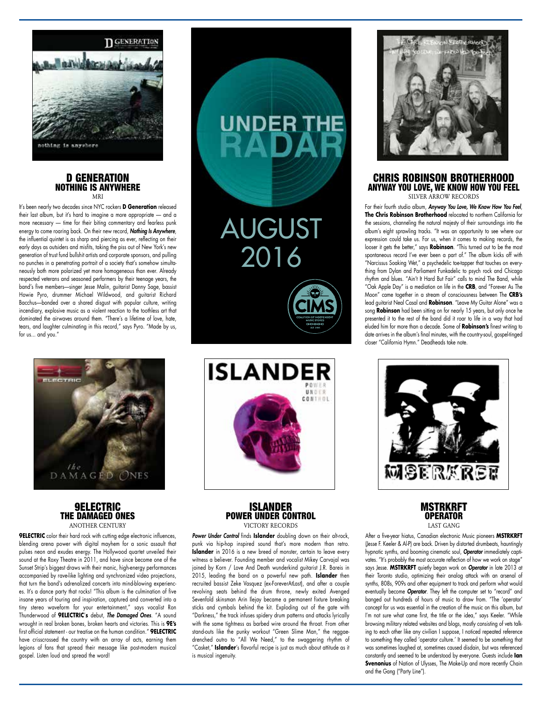

#### D GENERATION NOTHING IS ANYWHERE **MD**

It's been nearly two decades since NYC rockers **D Generation** released their last album, but it's hard to imagine a more appropriate — and a more necessary — time for their biting commentary and fearless punk energy to come roaring back. On their new record, *Nothing Is Anywhere*, the influential quintet is as sharp and piercing as ever, reflecting on their early days as outsiders and misfits, taking the piss out of New York's new generation of trust fund bullshit artists and corporate sponsors, and pulling no punches in a penetrating portrait of a society that's somehow simultaneously both more polarized yet more homogeneous than ever. Already respected veterans and seasoned performers by their teenage years, the band's five members—singer Jesse Malin, guitarist Danny Sage, bassist Howie Pyro, drummer Michael Wildwood, and guitarist Richard Bacchus—bonded over a shared disgust with popular culture, writing incendiary, explosive music as a violent reaction to the toothless art that dominated the airwaves around them. "There's a lifetime of love, hate, tears, and laughter culminating in this record," says Pyro. "Made by us, for us... and you."



# 9ELECTRIC THE DAMAGED ONES ANOTHER CENTURY

**9ELECTRIC** color their hard rock with cutting edge electronic influences, blending arena power with digital mayhem for a sonic assault that pulses neon and exudes energy. The Hollywood quartet unveiled their sound at the Roxy Theatre in 2011, and have since become one of the Sunset Strip's biggest draws with their manic, high-energy performances accompanied by rave-like lighting and synchronized video projections, that turn the band's adrenalized concerts into mind-blowing experiences. It's a dance party that rocks! "This album is the culmination of five insane years of touring and inspiration, captured and converted into a tiny stereo waveform for your entertainment," says vocalist Ron Thunderwood of **9ELECTRIC**'**s** debut, *The Damaged Ones*. "A sound wrought in real broken bones, broken hearts and victories. This is **9E's** first official statement - our treatise on the human condition." **9ELECTRIC** have crisscrossed the country with an array of acts, earning them legions of fans that spread their message like post-modern musical gospel. Listen loud and spread the word!





# ISLANDER POWER UNDER CONTROL VICTORY RECORDS

Power Under Control finds Islander doubling down on their alt-rock, punk via hip-hop inspired sound that's more modern than retro. **Islander** in 2016 is a new breed of monster, certain to leave every witness a believer. Founding member and vocalist Mikey Carvajal was joined by Korn / Love And Death wunderkind guitarist J.R. Bareis in 2015, leading the band on a powerful new path. **Islander** then recruited bassist Zeke Vasquez (ex-ForeverAtLast), and after a couple revolving seats behind the drum throne, newly exited Avenged Sevenfold skinsman Arin Ilejay became a permanent fixture breaking sticks and cymbals behind the kit. Exploding out of the gate with "Darkness," the track infuses spidery drum patterns and attacks lyrically with the same tightness as barbed wire around the throat. From other stand-outs like the punky workout "Green Slime Man," the reggaedrenched outro to "All We Need," to the swaggering rhythm of "Casket," **Islander**'s flavorful recipe is just as much about attitude as it is musical ingenuity.



### CHRIS ROBINSON BROTHERHOOD ANYWAY YOU LOVE, WE KNOW HOW YOU FEEL SILVER ARROW RECORDS

For their fourth studio album, *Anyway You Love, We Know How You Feel*, **The Chris Robinson Brotherhood** relocated to northern California for the sessions, channeling the natural majesty of their surroundings into the album's eight sprawling tracks. "It was an opportunity to see where our expression could take us. For us, when it comes to making records, the looser it gets the better," says **Robinson**. "This turned out to be the most spontaneous record I've ever been a part of." The album kicks off with "Narcissus Soaking Wet," a psychedelic toe-tapper that touches on everything from Dylan and Parliament Funkadelic to psych rock and Chicago rhythm and blues. "Ain't It Hard But Fair" calls to mind The Band, while "Oak Apple Day" is a mediation on life in the **CRB**, and "Forever As The Moon" came together in a stream of consciousness between The **CRB's** lead guitarist Neal Casal and **Robinson**. "Leave My Guitar Alone" was a song **Robinson** had been sitting on for nearly 15 years, but only once he presented it to the rest of the band did it roar to life in a way that had eluded him for more than a decade. Some of **Robinson's** finest writing to date arrives in the album's final minutes, with the country-soul, gospel-tinged closer "California Hymn." Deadheads take note.



# **MSTRKRFT** OPERATOR LAST GANG

After a five-year hiatus, Canadian electronic Music pioneers **MSTRKRFT** (Jesse F. Keeler & Al-P) are back. Driven by distorted drumbeats, hauntingly hypnotic synths, and booming cinematic soul, *Operator* immediately captivates. "It's probably the most accurate reflection of how we work on stage" says Jesse. **MSTRKRFT** quietly began work on *Operator* in late 2013 at their Toronto studio, optimizing their analog attack with an arsenal of synths, 808s, 909s and other equipment to track and perform what would eventually become *Operator*. They left the computer set to "record" and banged out hundreds of hours of music to draw from. "The 'operator' concept for us was essential in the creation of the music on this album, but I'm not sure what came first, the title or the idea," says Keeler. "While browsing military related websites and blogs, mostly consisting of vets talking to each other like any civilian I suppose, I noticed repeated reference to something they called 'operator culture.' It seemed to be something that was sometimes laughed at, sometimes caused disdain, but was referenced constantly and seemed to be understood by everyone. Guests include **Ian Svenonius** of Nation of Ulysses, The Make-Up and more recently Chain and the Gang ("Party Line").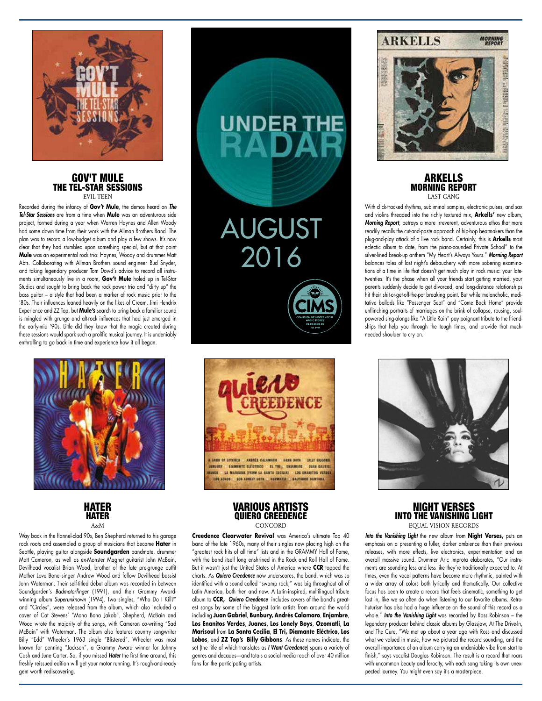

#### GOV'T MULE THE TEL-STAR SESSIONS EVIL TEEN

Recorded during the infancy of **Gov't Mule**, the demos heard on *The Tel-Star Sessions* are from a time when **Mule** was an adventurous side project, formed during a year when Warren Haynes and Allen Woody had some down time from their work with the Allman Brothers Band. The plan was to record a low-budget album and play a few shows. It's now clear that they had stumbled upon something special, but at that point **Mule** was an experimental rock trio: Haynes, Woody and drummer Matt Abts. Collaborating with Allman Brothers sound engineer Bud Snyder, and taking legendary producer Tom Dowd's advice to record all instruments simultaneously live in a room, **Gov't Mule** holed up in Tel-Star Studios and sought to bring back the rock power trio and "dirty up" the bass guitar – a style that had been a marker of rock music prior to the '80s. Their influences leaned heavily on the likes of Cream, Jimi Hendrix Experience and ZZ Top, but **Mule's** search to bring back a familiar sound is mingled with grunge and alt-rock influences that had just emerged in the early-mid '90s. Little did they know that the magic created during these sessions would spark such a prolific musical journey. It is undeniably enthralling to go back in time and experience how it all began.



**HATER** HATER  $A \times M$ 

Way back in the flannel-clad 90s, Ben Shepherd returned to his garage rock roots and assembled a group of musicians that became **Hater** in Seattle, playing guitar alongside **Soundgarden** bandmate, drummer Matt Cameron, as well as ex-Monster Magnet guitarist John McBain, Devilhead vocalist Brian Wood, brother of the late pre-grunge outfit Mother Love Bone singer Andrew Wood and fellow Devilhead bassist John Waterman. Their self-titled debut album was recorded in between Soundgarden's *Badmotorfinger* (1991), and their Grammy Awardwinning album *Superunknown* (1994). Two singles, "Who Do I Kill?" and "Circles", were released from the album, which also included a cover of Cat Stevens' "Mona Bona Jakob". Shepherd, McBain and Wood wrote the majority of the songs, with Cameron co-writing "Sad McBain" with Waterman. The album also features country songwriter Billy "Edd" Wheeler's 1963 single "Blistered". Wheeler was most known for penning "Jackson", a Grammy Award winner for Johnny Cash and June Carter. So, if you missed *Hater* the first time around, this freshly reissued edition will get your motor running. It's rough-and-ready gem worth rediscovering.



AUGUST

UNDER THE

2016

# VARIOUS ARTISTS QUIERO CREEDENCE CONCORD

Creedence Clearwater Revival was America's ultimate Top 40 band of the late 1960s, many of their singles now placing high on the "greatest rock hits of all time" lists and in the GRAMMY Hall of Fame, with the band itself long enshrined in the Rock and Roll Hall of Fame. But it wasn't just the United States of America where **CCR** topped the charts. As *Quiero Creedence* now underscores, the band, which was so identified with a sound called "swamp rock," was big throughout all of Latin America, both then and now. A Latin-inspired, multilingual tribute album to **CCR,** *Quiero Creedence* includes covers of the band's greatest songs by some of the biggest Latin artists from around the world including **Juan Gabriel**, **Bunbury, Andrés Calamaro**, **Enjambre**, **Los Enanitos Verdes**, **Juanes**, **Los Lonely Boys**, **Ozomatli**, **La Marisoul** from **La Santa Cecilia**, **El Tri, Diamante Eléctrico**, **Los Lobos**, and **ZZ Top's Billy Gibbons**. As these names indicate, the set (the title of which translates as *I Want Creedence*) spans a variety of genres and decades—and totals a social media reach of over 40 million fans for the participating artists.

# **ARKELLS**



**MORNING**<br>REPORT

### ARKELLS MORNING REPORT LAST CANC

With click-tracked rhythms, subliminal samples, electronic pulses, and sax and violins threaded into the richly textured mix, **Arkells'** new album, *Morning Report*, betrays a more irreverent, adventurous ethos that more readily recalls the cut-and-paste approach of hip-hop beatmakers than the plug-and-play attack of a live rock band. Certainly, this is **Arkells** most eclectic album to date, from the piano-pounded Private School" to the silver-lined break-up anthem "My Heart's Always Yours." *Morning Report* balances tales of last night's debauchery with more sobering examinations of a time in life that doesn't get much play in rock music: your latetwenties. It's the phase when all your friends start getting married, your parents suddenly decide to get divorced, and long-distance relationships hit their shit-or-get-off-the-pot breaking point. But while melancholic, meditative ballads like "Passenger Seat" and "Come Back Home" provide unflinching portraits of marriages on the brink of collapse, rousing, soulpowered sing-alongs like "A Little Rain" pay poignant tribute to the friendships that help you through the tough times, and provide that muchneeded shoulder to cry on.



# NIGHT VERSES INTO THE VANISHING LIGHT EQUAL VISION RECORDS

*Into the Vanishing Light* the new album from **Night Verses,** puts an emphasis on a presenting a fuller, darker ambience than their previous releases, with more effects, live electronics, experimentation and an overall massive sound. Drummer Aric Improta elaborates, "Our instruments are sounding less and less like they're traditionally expected to. At times, even the vocal patterns have become more rhythmic, painted with a wider array of colors both lyrically and thematically. Our collective focus has been to create a record that feels cinematic, something to get lost in, like we so often do when listening to our favorite albums. Retro-Futurism has also had a huge influence on the sound of this record as a whole." *Into the Vanishing Light* was recorded by Ross Robinson – the legendary producer behind classic albums by Glassjaw, At The Drive-In, and The Cure. "We met up about a year ago with Ross and discussed what we valued in music, how we pictured the record sounding, and the overall importance of an album carrying an undeniable vibe from start to finish," says vocalist Douglas Robinson. The result is a record that roars with uncommon beauty and ferocity, with each song taking its own unexpected journey. You might even say it's a masterpiece.